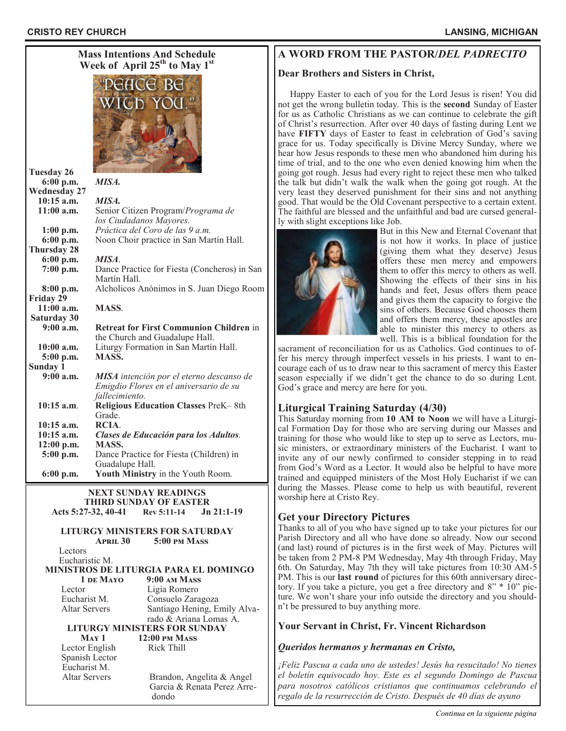

# **A WORD FROM THE PASTOR/***DEL PADRECITO*

#### **Dear Brothers and Sisters in Christ,**

 Happy Easter to each of you for the Lord Jesus is risen! You did not get the wrong bulletin today. This is the **second** Sunday of Easter for us as Catholic Christians as we can continue to celebrate the gift of Christ's resurrection. After over 40 days of fasting during Lent we have **FIFTY** days of Easter to feast in celebration of God's saving grace for us. Today specifically is Divine Mercy Sunday, where we hear how Jesus responds to these men who abandoned him during his time of trial, and to the one who even denied knowing him when the going got rough. Jesus had every right to reject these men who talked the talk but didn't walk the walk when the going got rough. At the very least they deserved punishment for their sins and not anything good. That would be the Old Covenant perspective to a certain extent. The faithful are blessed and the unfaithful and bad are cursed generally with slight exceptions like Job.



But in this New and Eternal Covenant that is not how it works. In place of justice (giving them what they deserve) Jesus offers these men mercy and empowers them to offer this mercy to others as well. Showing the effects of their sins in his hands and feet, Jesus offers them peace and gives them the capacity to forgive the sins of others. Because God chooses them and offers them mercy, these apostles are able to minister this mercy to others as well. This is a biblical foundation for the

sacrament of reconciliation for us as Catholics. God continues to offer his mercy through imperfect vessels in his priests. I want to encourage each of us to draw near to this sacrament of mercy this Easter season especially if we didn't get the chance to do so during Lent. God's grace and mercy are here for you.

# **Liturgical Training Saturday (4/30)**

This Saturday morning from **10 AM to Noon** we will have a Liturgical Formation Day for those who are serving during our Masses and training for those who would like to step up to serve as Lectors, music ministers, or extraordinary ministers of the Eucharist. I want to invite any of our newly confirmed to consider stepping in to read from God's Word as a Lector. It would also be helpful to have more trained and equipped ministers of the Most Holy Eucharist if we can during the Masses. Please come to help us with beautiful, reverent worship here at Cristo Rey.

# **Get your Directory Pictures**

Thanks to all of you who have signed up to take your pictures for our Parish Directory and all who have done so already. Now our second (and last) round of pictures is in the first week of May. Pictures will be taken from 2 PM-8 PM Wednesday, May 4th through Friday, May 6th. On Saturday, May 7th they will take pictures from 10:30 AM-5 PM. This is our **last round** of pictures for this 60th anniversary directory. If you take a picture, you get a free directory and 8" \* 10" picture. We won't share your info outside the directory and you shouldn't be pressured to buy anything more.

### **Your Servant in Christ, Fr. Vincent Richardson**

### *Queridos hermanos y hermanas en Cristo,*

*¡Feliz Pascua a cada uno de ustedes! Jesús ha resucitado! No tienes el boletín equivocado hoy. Este es el segundo Domingo de Pascua para nosotros católicos cristianos que continuamos celebrando el regalo de la resurrección de Cristo. Después de 40 días de ayuno* 

 rado & Ariana Lomas A. **LITURGY MINISTERS FOR SUNDAY May 1 12:00 pm Mass** Lector English Rick Thill Spanish Lector

Eucharist M.

Altar Servers Brandon, Angelita & Angel Garcia & Renata Perez Arre dondo